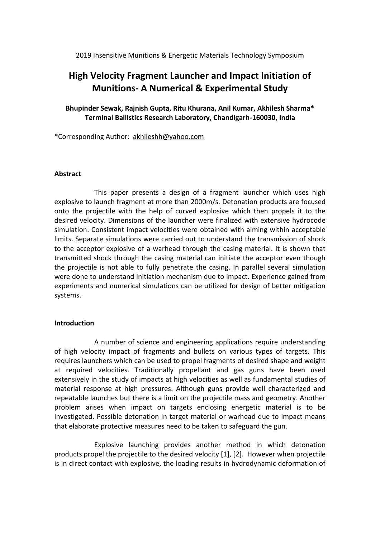# 2019 Insensitive Munitions & Energetic Materials Technology Symposium

# **High Velocity Fragment Launcher and Impact Initiation of Munitions- A Numerical & Experimental Study**

**Bhupinder Sewak, Rajnish Gupta, Ritu Khurana, Anil Kumar, Akhilesh Sharma\* Terminal Ballistics Research Laboratory, Chandigarh-160030, India**

\*Corresponding Author: akhileshh@yahoo.com

## **Abstract**

This paper presents a design of a fragment launcher which uses high explosive to launch fragment at more than 2000m/s. Detonation products are focused onto the projectile with the help of curved explosive which then propels it to the desired velocity. Dimensions of the launcher were finalized with extensive hydrocode simulation. Consistent impact velocities were obtained with aiming within acceptable limits. Separate simulations were carried out to understand the transmission of shock to the acceptor explosive of a warhead through the casing material. It is shown that transmitted shock through the casing material can initiate the acceptor even though the projectile is not able to fully penetrate the casing. In parallel several simulation were done to understand initiation mechanism due to impact. Experience gained from experiments and numerical simulations can be utilized for design of better mitigation systems.

## **Introduction**

A number of science and engineering applications require understanding of high velocity impact of fragments and bullets on various types of targets. This requires launchers which can be used to propel fragments of desired shape and weight at required velocities. Traditionally propellant and gas guns have been used extensively in the study of impacts at high velocities as well as fundamental studies of material response at high pressures. Although guns provide well characterized and repeatable launches but there is a limit on the projectile mass and geometry. Another problem arises when impact on targets enclosing energetic material is to be investigated. Possible detonation in target material or warhead due to impact means that elaborate protective measures need to be taken to safeguard the gun.

Explosive launching provides another method in which detonation products propel the projectile to the desired velocity [1], [2]. However when projectile is in direct contact with explosive, the loading results in hydrodynamic deformation of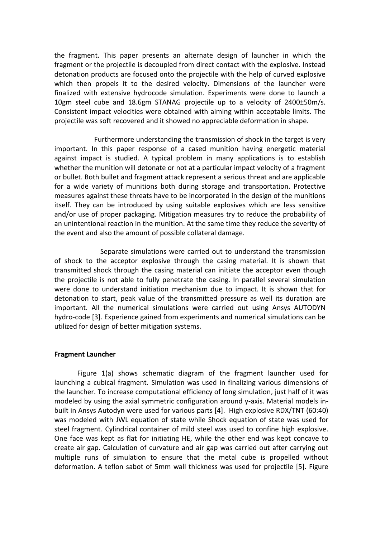the fragment. This paper presents an alternate design of launcher in which the fragment or the projectile is decoupled from direct contact with the explosive. Instead detonation products are focused onto the projectile with the help of curved explosive which then propels it to the desired velocity. Dimensions of the launcher were finalized with extensive hydrocode simulation. Experiments were done to launch a 10gm steel cube and 18.6gm STANAG projectile up to a velocity of 2400±50m/s. Consistent impact velocities were obtained with aiming within acceptable limits. The projectile was soft recovered and it showed no appreciable deformation in shape.

Furthermore understanding the transmission of shock in the target is very important. In this paper response of a cased munition having energetic material against impact is studied. A typical problem in many applications is to establish whether the munition will detonate or not at a particular impact velocity of a fragment or bullet. Both bullet and fragment attack represent a serious threat and are applicable for a wide variety of munitions both during storage and transportation. Protective measures against these threats have to be incorporated in the design of the munitions itself. They can be introduced by using suitable explosives which are less sensitive and/or use of proper packaging. Mitigation measures try to reduce the probability of an unintentional reaction in the munition. At the same time they reduce the severity of the event and also the amount of possible collateral damage.

Separate simulations were carried out to understand the transmission of shock to the acceptor explosive through the casing material. It is shown that transmitted shock through the casing material can initiate the acceptor even though the projectile is not able to fully penetrate the casing. In parallel several simulation were done to understand initiation mechanism due to impact. It is shown that for detonation to start, peak value of the transmitted pressure as well its duration are important. All the numerical simulations were carried out using Ansys AUTODYN hydro-code [3]. Experience gained from experiments and numerical simulations can be utilized for design of better mitigation systems.

## **Fragment Launcher**

Figure 1(a) shows schematic diagram of the fragment launcher used for launching a cubical fragment. Simulation was used in finalizing various dimensions of the launcher. To increase computational efficiency of long simulation, just half of it was modeled by using the axial symmetric configuration around y-axis. Material models inbuilt in Ansys Autodyn were used for various parts [4]. High explosive RDX/TNT (60:40) was modeled with JWL equation of state while Shock equation of state was used for steel fragment. Cylindrical container of mild steel was used to confine high explosive. One face was kept as flat for initiating HE, while the other end was kept concave to create air gap. Calculation of curvature and air gap was carried out after carrying out multiple runs of simulation to ensure that the metal cube is propelled without deformation. A teflon sabot of 5mm wall thickness was used for projectile [5]. Figure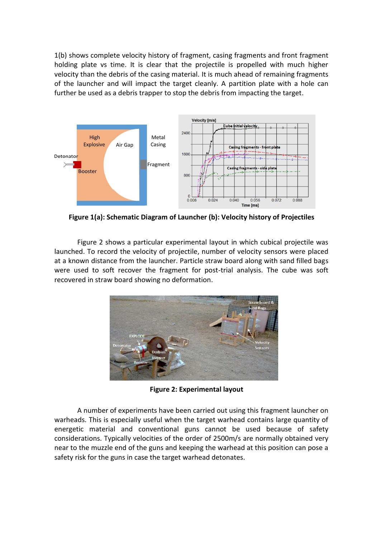1(b) shows complete velocity history of fragment, casing fragments and front fragment holding plate vs time. It is clear that the projectile is propelled with much higher velocity than the debris of the casing material. It is much ahead of remaining fragments of the launcher and will impact the target cleanly. A partition plate with a hole can further be used as a debris trapper to stop the debris from impacting the target.



**Figure 1(a): Schematic Diagram of Launcher (b): Velocity history of Projectiles**

Figure 2 shows a particular experimental layout in which cubical projectile was launched. To record the velocity of projectile, number of velocity sensors were placed at a known distance from the launcher. Particle straw board along with sand filled bags were used to soft recover the fragment for post-trial analysis. The cube was soft recovered in straw board showing no deformation.



**Figure 2: Experimental layout**

A number of experiments have been carried out using this fragment launcher on warheads. This is especially useful when the target warhead contains large quantity of energetic material and conventional guns cannot be used because of safety considerations. Typically velocities of the order of 2500m/s are normally obtained very near to the muzzle end of the guns and keeping the warhead at this position can pose a safety risk for the guns in case the target warhead detonates.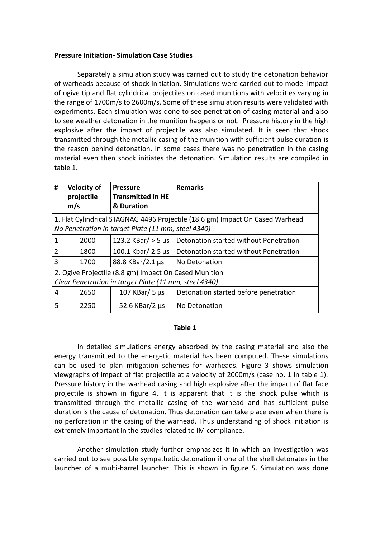# **Pressure Initiation- Simulation Case Studies**

Separately a simulation study was carried out to study the detonation behavior of warheads because of shock initiation. Simulations were carried out to model impact of ogive tip and flat cylindrical projectiles on cased munitions with velocities varying in the range of 1700m/s to 2600m/s. Some of these simulation results were validated with experiments. Each simulation was done to see penetration of casing material and also to see weather detonation in the munition happens or not. Pressure history in the high explosive after the impact of projectile was also simulated. It is seen that shock transmitted through the metallic casing of the munition with sufficient pulse duration is the reason behind detonation. In some cases there was no penetration in the casing material even then shock initiates the detonation. Simulation results are compiled in table 1.

| #                                                                                                                                   | <b>Velocity of</b><br>projectile<br>m/s | <b>Pressure</b><br><b>Transmitted in HE</b><br>& Duration | <b>Remarks</b>                         |
|-------------------------------------------------------------------------------------------------------------------------------------|-----------------------------------------|-----------------------------------------------------------|----------------------------------------|
| 1. Flat Cylindrical STAGNAG 4496 Projectile (18.6 gm) Impact On Cased Warhead<br>No Penetration in target Plate (11 mm, steel 4340) |                                         |                                                           |                                        |
|                                                                                                                                     |                                         |                                                           |                                        |
| 1                                                                                                                                   | 2000                                    | 123.2 KBar/ $>$ 5 µs                                      | Detonation started without Penetration |
| 2                                                                                                                                   | 1800                                    | 100.1 Kbar/ 2.5 $\mu$ s                                   | Detonation started without Penetration |
| 3                                                                                                                                   | 1700                                    | 88.8 KBar/2.1 µs                                          | No Detonation                          |
| 2. Ogive Projectile (8.8 gm) Impact On Cased Munition                                                                               |                                         |                                                           |                                        |
| Clear Penetration in target Plate (11 mm, steel 4340)                                                                               |                                         |                                                           |                                        |
| 4                                                                                                                                   | 2650                                    | 107 KBar/ $5 \mu s$                                       | Detonation started before penetration  |
| 5                                                                                                                                   | 2250                                    | 52.6 KBar/2 $\mu$ s                                       | No Detonation                          |

## **Table 1**

In detailed simulations energy absorbed by the casing material and also the energy transmitted to the energetic material has been computed. These simulations can be used to plan mitigation schemes for warheads. Figure 3 shows simulation viewgraphs of impact of flat projectile at a velocity of 2000m/s (case no. 1 in table 1). Pressure history in the warhead casing and high explosive after the impact of flat face projectile is shown in figure 4. It is apparent that it is the shock pulse which is transmitted through the metallic casing of the warhead and has sufficient pulse duration is the cause of detonation. Thus detonation can take place even when there is no perforation in the casing of the warhead. Thus understanding of shock initiation is extremely important in the studies related to IM compliance.

Another simulation study further emphasizes it in which an investigation was carried out to see possible sympathetic detonation if one of the shell detonates in the launcher of a multi-barrel launcher. This is shown in figure 5. Simulation was done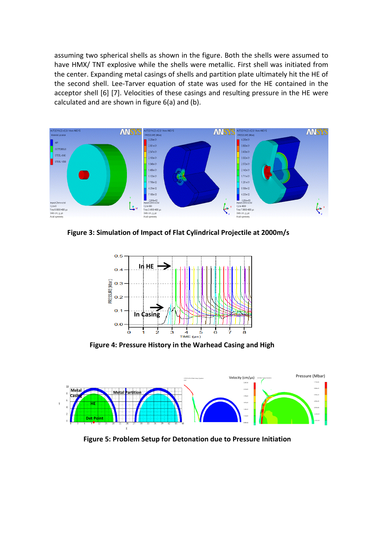assuming two spherical shells as shown in the figure. Both the shells were assumed to have HMX/ TNT explosive while the shells were metallic. First shell was initiated from the center. Expanding metal casings of shells and partition plate ultimately hit the HE of the second shell. Lee-Tarver equation of state was used for the HE contained in the acceptor shell [6] [7]. Velocities of these casings and resulting pressure in the HE were calculated and are shown in figure 6(a) and (b).



**Figure 3: Simulation of Impact of Flat Cylindrical Projectile at 2000m/s**



**Figure 4: Pressure History in the Warhead Casing and High** 



**Figure 5: Problem Setup for Detonation due to Pressure Initiation**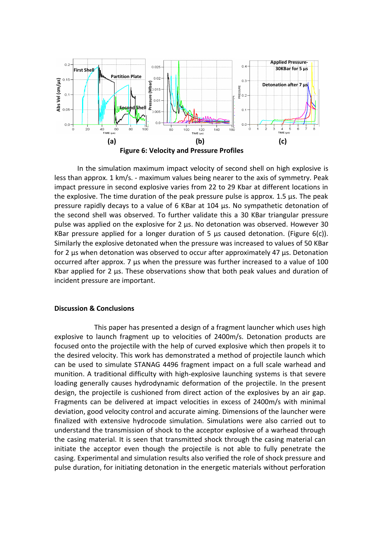

In the simulation maximum impact velocity of second shell on high explosive is less than approx. 1 km/s. - maximum values being nearer to the axis of symmetry. Peak impact pressure in second explosive varies from 22 to 29 Kbar at different locations in the explosive. The time duration of the peak pressure pulse is approx. 1.5 µs. The peak pressure rapidly decays to a value of 6 KBar at 104 µs. No sympathetic detonation of the second shell was observed. To further validate this a 30 KBar triangular pressure pulse was applied on the explosive for 2 µs. No detonation was observed. However 30 KBar pressure applied for a longer duration of 5  $\mu$ s caused detonation. (Figure 6(c)). Similarly the explosive detonated when the pressure was increased to values of 50 KBar for 2 µs when detonation was observed to occur after approximately 47 µs. Detonation occurred after approx. 7 µs when the pressure was further increased to a value of 100 Kbar applied for 2 µs. These observations show that both peak values and duration of incident pressure are important.

## **Discussion & Conclusions**

This paper has presented a design of a fragment launcher which uses high explosive to launch fragment up to velocities of 2400m/s. Detonation products are focused onto the projectile with the help of curved explosive which then propels it to the desired velocity. This work has demonstrated a method of projectile launch which can be used to simulate STANAG 4496 fragment impact on a full scale warhead and munition. A traditional difficulty with high-explosive launching systems is that severe loading generally causes hydrodynamic deformation of the projectile. In the present design, the projectile is cushioned from direct action of the explosives by an air gap. Fragments can be delivered at impact velocities in excess of 2400m/s with minimal deviation, good velocity control and accurate aiming. Dimensions of the launcher were finalized with extensive hydrocode simulation. Simulations were also carried out to understand the transmission of shock to the acceptor explosive of a warhead through the casing material. It is seen that transmitted shock through the casing material can initiate the acceptor even though the projectile is not able to fully penetrate the casing. Experimental and simulation results also verified the role of shock pressure and pulse duration, for initiating detonation in the energetic materials without perforation